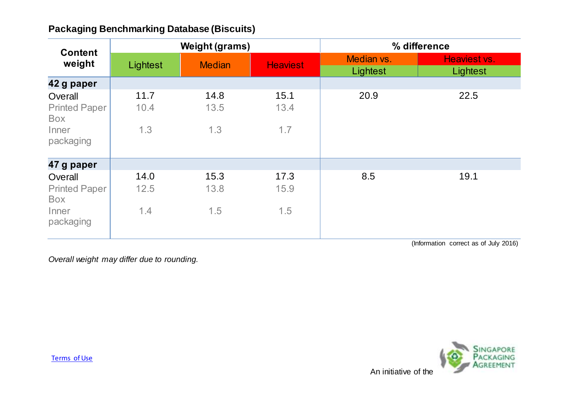| <b>Content</b><br>weight                                     | <b>Weight (grams)</b> |                     |                     | % difference           |                                       |
|--------------------------------------------------------------|-----------------------|---------------------|---------------------|------------------------|---------------------------------------|
|                                                              | Lightest              | <b>Median</b>       | <b>Heaviest</b>     | Median vs.<br>Lightest | Heaviest vs.<br>Lightest              |
| 42 g paper                                                   |                       |                     |                     |                        |                                       |
| Overall<br><b>Printed Paper</b><br>Box<br>Inner<br>packaging | 11.7<br>10.4<br>1.3   | 14.8<br>13.5<br>1.3 | 15.1<br>13.4<br>1.7 | 20.9                   | 22.5                                  |
| 47 g paper                                                   |                       |                     |                     |                        |                                       |
| Overall<br><b>Printed Paper</b><br>Box<br>Inner<br>packaging | 14.0<br>12.5<br>1.4   | 15.3<br>13.8<br>1.5 | 17.3<br>15.9<br>1.5 | 8.5                    | 19.1                                  |
|                                                              |                       |                     |                     |                        | (Information correct as of July 2016) |

(Information correct as of July 2016)

*Overall weight may differ due to rounding.*

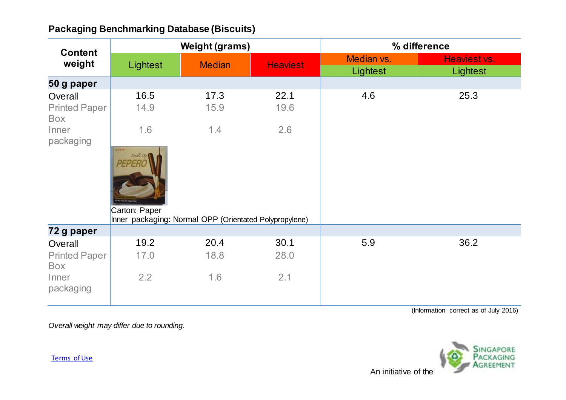| <b>Content</b><br>weight               |                                             | <b>Weight (grams)</b>                                         |                 |                        | % difference             |
|----------------------------------------|---------------------------------------------|---------------------------------------------------------------|-----------------|------------------------|--------------------------|
|                                        | Lightest                                    | <b>Median</b>                                                 | <b>Heaviest</b> | Median vs.<br>Lightest | Heaviest vs.<br>Lightest |
| 50 g paper                             |                                             |                                                               |                 |                        |                          |
| Overall<br><b>Printed Paper</b><br>Box | 16.5<br>14.9                                | 17.3<br>15.9                                                  | 22.1<br>19.6    | 4.6                    | 25.3                     |
| Inner<br>packaging                     | 1.6<br>LOTTE<br>Deable Dis<br>Carton: Paper | 1.4<br>Inner packaging: Normal OPP (Orientated Polypropylene) | 2.6             |                        |                          |
| 72 g paper                             |                                             |                                                               |                 |                        |                          |
| Overall                                | 19.2                                        | 20.4                                                          | 30.1            | 5.9                    | 36.2                     |
| <b>Printed Paper</b><br>Box            | 17.0                                        | 18.8                                                          | 28.0            |                        |                          |
| Inner<br>packaging                     | 2.2                                         | 1.6                                                           | 2.1             |                        |                          |

(Information correct as of July 2016)

*Overall weight may differ due to rounding.*



[Terms of Use](http://www.nea.gov.sg/terms-of-use/)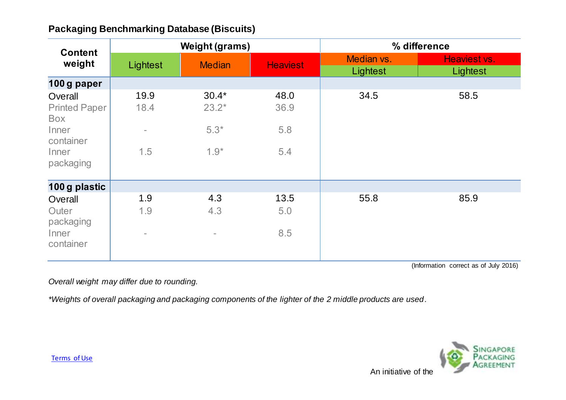| <b>Content</b>                                                                            |                                                 | <b>Weight (grams)</b>                  |                            | % difference |              |
|-------------------------------------------------------------------------------------------|-------------------------------------------------|----------------------------------------|----------------------------|--------------|--------------|
| weight                                                                                    | Lightest                                        | <b>Median</b>                          | <b>Heaviest</b>            | Median vs.   | Heaviest vs. |
|                                                                                           |                                                 |                                        |                            | Lightest     | Lightest     |
| 100 g paper                                                                               |                                                 |                                        |                            |              |              |
| Overall<br><b>Printed Paper</b><br><b>Box</b><br>Inner<br>container<br>Inner<br>packaging | 19.9<br>18.4<br>$\overline{\phantom{a}}$<br>1.5 | $30.4*$<br>$23.2*$<br>$5.3*$<br>$1.9*$ | 48.0<br>36.9<br>5.8<br>5.4 | 34.5         | 58.5         |
| 100 g plastic                                                                             |                                                 |                                        |                            |              |              |
| Overall<br>Outer<br>packaging<br>Inner<br>container                                       | 1.9<br>1.9<br>$\overline{\phantom{0}}$          | 4.3<br>4.3<br>$\overline{\phantom{a}}$ | 13.5<br>5.0<br>8.5         | 55.8         | 85.9         |

(Information correct as of July 2016)

*Overall weight may differ due to rounding.*

*\*Weights of overall packaging and packaging components of the lighter of the 2 middle products are used.*

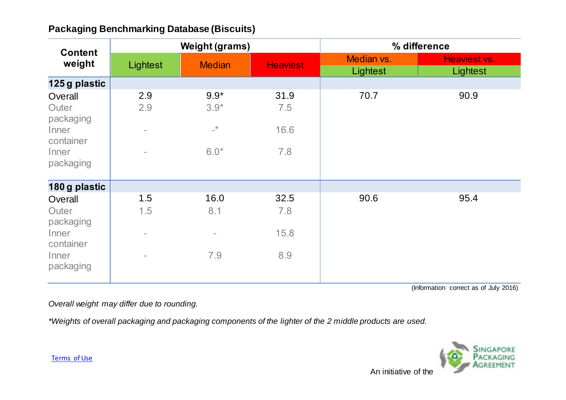| <b>Content</b><br>weight                                                  |                                                                    | <b>Weight (grams)</b>                                             |                            |                        | % difference             |
|---------------------------------------------------------------------------|--------------------------------------------------------------------|-------------------------------------------------------------------|----------------------------|------------------------|--------------------------|
|                                                                           | Lightest                                                           | <b>Median</b>                                                     | <b>Heaviest</b>            | Median vs.<br>Lightest | Heaviest vs.<br>Lightest |
| 125 g plastic                                                             |                                                                    |                                                                   |                            |                        |                          |
| Overall<br>Outer<br>packaging<br>Inner<br>container<br>Inner<br>packaging | 2.9<br>2.9<br>$\overline{\phantom{0}}$<br>$\overline{\phantom{0}}$ | $9.9*$<br>$3.9*$<br>$\mathrel{{\rightharpoonup}}^\star$<br>$6.0*$ | 31.9<br>7.5<br>16.6<br>7.8 | 70.7                   | 90.9                     |
| 180 g plastic                                                             |                                                                    |                                                                   |                            |                        |                          |
| Overall<br>Outer<br>packaging<br>Inner<br>container<br>Inner<br>packaging | 1.5<br>1.5<br>$\overline{\phantom{a}}$<br>$\overline{\phantom{0}}$ | 16.0<br>8.1<br>$\overline{\phantom{a}}$<br>7.9                    | 32.5<br>7.8<br>15.8<br>8.9 | 90.6                   | 95.4                     |

(Information correct as of July 2016)

*Overall weight may differ due to rounding.*

*\*Weights of overall packaging and packaging components of the lighter of the 2 middle products are used.*



[Terms of Use](http://www.nea.gov.sg/terms-of-use/)

An initiative of the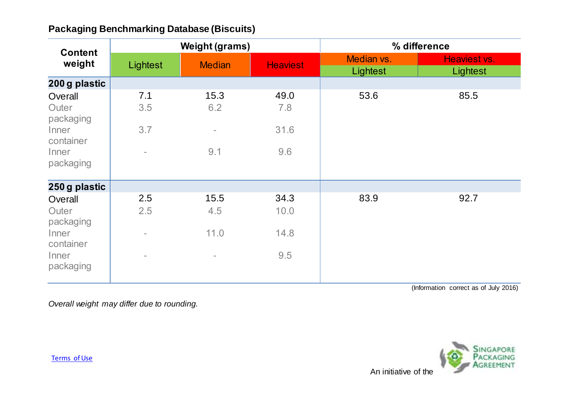| <b>Content</b><br>weight                                                  | <b>Weight (grams)</b>                                              |                                                |                             |                        | % difference             |
|---------------------------------------------------------------------------|--------------------------------------------------------------------|------------------------------------------------|-----------------------------|------------------------|--------------------------|
|                                                                           | Lightest                                                           | <b>Median</b>                                  | <b>Heaviest</b>             | Median vs.<br>Lightest | Heaviest vs.<br>Lightest |
| 200 g plastic                                                             |                                                                    |                                                |                             |                        |                          |
| Overall<br>Outer<br>packaging<br>Inner<br>container<br>Inner<br>packaging | 7.1<br>3.5<br>3.7<br>$\bar{ }$                                     | 15.3<br>6.2<br>$\overline{\phantom{a}}$<br>9.1 | 49.0<br>7.8<br>31.6<br>9.6  | 53.6                   | 85.5                     |
| 250 g plastic                                                             |                                                                    |                                                |                             |                        |                          |
| Overall<br>Outer<br>packaging<br>Inner<br>container<br>Inner<br>packaging | 2.5<br>2.5<br>$\overline{\phantom{a}}$<br>$\overline{\phantom{0}}$ | 15.5<br>4.5<br>11.0<br>$\sim$                  | 34.3<br>10.0<br>14.8<br>9.5 | 83.9                   | 92.7                     |

(Information correct as of July 2016)

*Overall weight may differ due to rounding.*



[Terms of Use](http://www.nea.gov.sg/terms-of-use/)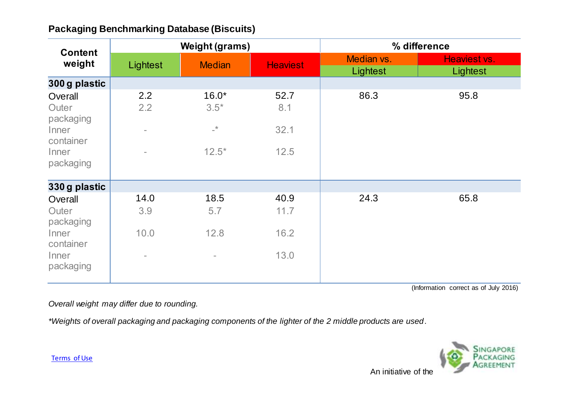| <b>Content</b>                                                            |                                                                    | <b>Weight (grams)</b>                                |                              |                        | % difference             |
|---------------------------------------------------------------------------|--------------------------------------------------------------------|------------------------------------------------------|------------------------------|------------------------|--------------------------|
| weight                                                                    | Lightest                                                           | <b>Median</b>                                        | <b>Heaviest</b>              | Median vs.<br>Lightest | Heaviest vs.<br>Lightest |
| 300 g plastic                                                             |                                                                    |                                                      |                              |                        |                          |
| Overall<br>Outer<br>packaging<br>Inner<br>container<br>Inner<br>packaging | 2.2<br>2.2<br>$\overline{\phantom{0}}$<br>$\overline{\phantom{0}}$ | $16.0*$<br>$3.5*$<br>$\mathbf{L}^{\star}$<br>$12.5*$ | 52.7<br>8.1<br>32.1<br>12.5  | 86.3                   | 95.8                     |
| 330 g plastic                                                             |                                                                    |                                                      |                              |                        |                          |
| Overall<br>Outer<br>packaging<br>Inner<br>container<br>Inner<br>packaging | 14.0<br>3.9<br>10.0<br>$\overline{\phantom{0}}$                    | 18.5<br>5.7<br>12.8<br>$\overline{\phantom{a}}$      | 40.9<br>11.7<br>16.2<br>13.0 | 24.3                   | 65.8                     |

(Information correct as of July 2016)

*Overall weight may differ due to rounding.*

*\*Weights of overall packaging and packaging components of the lighter of the 2 middle products are used.*



[Terms of Use](http://www.nea.gov.sg/terms-of-use/)

An initiative of the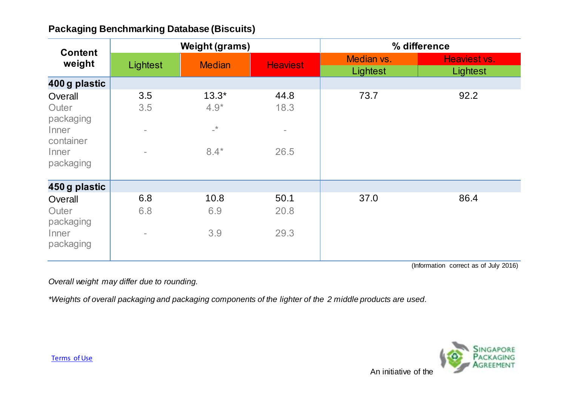| <b>Content</b><br>weight                                                  |                                                                    | <b>Weight (grams)</b>                         |                                  | % difference           |                          |
|---------------------------------------------------------------------------|--------------------------------------------------------------------|-----------------------------------------------|----------------------------------|------------------------|--------------------------|
|                                                                           | Lightest                                                           | <b>Median</b>                                 | <b>Heaviest</b>                  | Median vs.<br>Lightest | Heaviest vs.<br>Lightest |
| 400 g plastic                                                             |                                                                    |                                               |                                  |                        |                          |
| Overall<br>Outer<br>packaging<br>Inner<br>container<br>Inner<br>packaging | 3.5<br>3.5<br>$\overline{\phantom{a}}$<br>$\overline{\phantom{0}}$ | $13.3*$<br>$4.9*$<br>$\mathbf{R}^+$<br>$8.4*$ | 44.8<br>18.3<br>$\equiv$<br>26.5 | 73.7                   | 92.2                     |
| 450 g plastic                                                             |                                                                    |                                               |                                  |                        |                          |
| Overall<br>Outer<br>packaging<br>Inner<br>packaging                       | 6.8<br>6.8<br>$\overline{\phantom{0}}$                             | 10.8<br>6.9<br>3.9                            | 50.1<br>20.8<br>29.3             | 37.0                   | 86.4                     |

(Information correct as of July 2016)

*Overall weight may differ due to rounding.*

*\*Weights of overall packaging and packaging components of the lighter of the 2 middle products are used.*